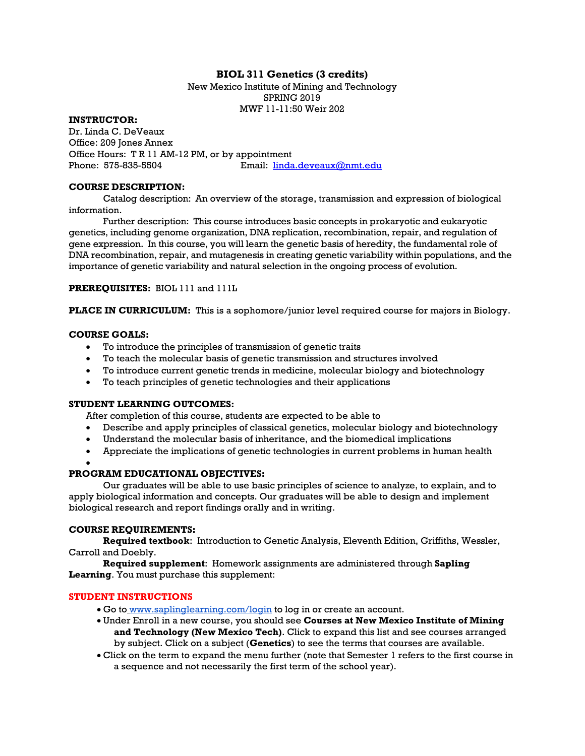## **BIOL 311 Genetics (3 credits)**

New Mexico Institute of Mining and Technology SPRING 2019 MWF 11-11:50 Weir 202

**INSTRUCTOR:**

Dr. Linda C. DeVeaux Office: 209 Jones Annex Office Hours: T R 11 AM-12 PM, or by appointment Phone: 575-835-5504 Email: [linda.deveaux@nmt.edu](mailto:linda.deveaux@nmt.edu)

#### **COURSE DESCRIPTION:**

Catalog description: An overview of the storage, transmission and expression of biological information.

Further description: This course introduces basic concepts in prokaryotic and eukaryotic genetics, including genome organization, DNA replication, recombination, repair, and regulation of gene expression. In this course, you will learn the genetic basis of heredity, the fundamental role of DNA recombination, repair, and mutagenesis in creating genetic variability within populations, and the importance of genetic variability and natural selection in the ongoing process of evolution.

**PREREQUISITES:** BIOL 111 and 111L

**PLACE IN CURRICULUM:** This is a sophomore/junior level required course for majors in Biology.

## **COURSE GOALS:**

- To introduce the principles of transmission of genetic traits
- To teach the molecular basis of genetic transmission and structures involved
- To introduce current genetic trends in medicine, molecular biology and biotechnology
- To teach principles of genetic technologies and their applications

## **STUDENT LEARNING OUTCOMES:**

After completion of this course, students are expected to be able to

- Describe and apply principles of classical genetics, molecular biology and biotechnology
- Understand the molecular basis of inheritance, and the biomedical implications
- Appreciate the implications of genetic technologies in current problems in human health

#### •

## **PROGRAM EDUCATIONAL OBJECTIVES:**

Our graduates will be able to use basic principles of science to analyze, to explain, and to apply biological information and concepts. Our graduates will be able to design and implement biological research and report findings orally and in writing.

## **COURSE REQUIREMENTS:**

**Required textbook**: Introduction to Genetic Analysis, Eleventh Edition, Griffiths, Wessler, Carroll and Doebly.

**Required supplement**: Homework assignments are administered through **Sapling Learning**. You must purchase this supplement:

## **STUDENT INSTRUCTIONS**

- Go to [www.saplinglearning.com/login](http://www.saplinglearning.com/login) to log in or create an account.
- Under Enroll in a new course, you should see **Courses at New Mexico Institute of Mining and Technology (New Mexico Tech)**. Click to expand this list and see courses arranged by subject. Click on a subject (**Genetics**) to see the terms that courses are available.
- Click on the term to expand the menu further (note that Semester 1 refers to the first course in a sequence and not necessarily the first term of the school year).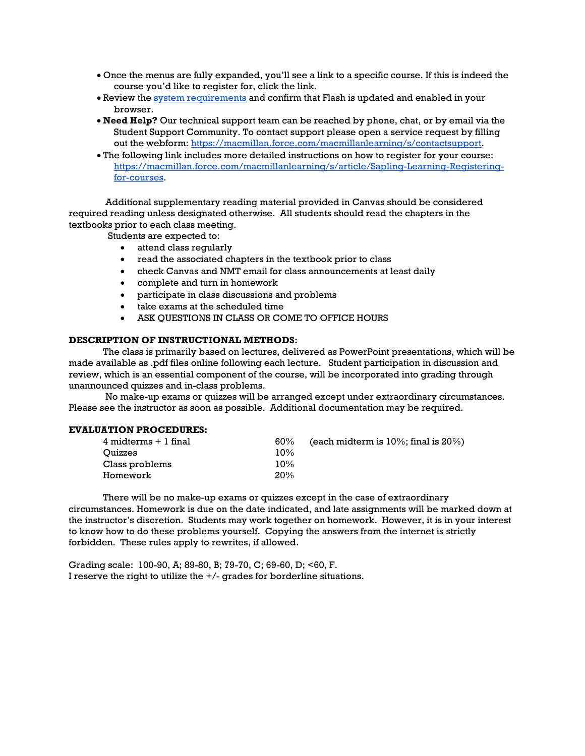- Once the menus are fully expanded, you'll see a link to a specific course. If this is indeed the course you'd like to register for, click the link.
- Review the [system requirements](https://macmillan.force.com/macmillanlearning/s/article/System-requirements-for-each-product#Sapling) and confirm that Flash is updated and enabled in your browser.
- **Need Help?** Our technical support team can be reached by phone, chat, or by email via the Student Support Community. To contact support please open a service request by filling out the webform: [https://macmillan.force.com/macmillanlearning/s/contactsupport.](https://macmillan.force.com/macmillanlearning/s/contactsupport)
- The following link includes more detailed instructions on how to register for your course: [https://macmillan.force.com/macmillanlearning/s/article/Sapling-Learning-Registering](https://macmillan.force.com/macmillanlearning/s/article/Sapling-Learning-Registering-for-courses)[for-courses.](https://macmillan.force.com/macmillanlearning/s/article/Sapling-Learning-Registering-for-courses)

Additional supplementary reading material provided in Canvas should be considered required reading unless designated otherwise. All students should read the chapters in the textbooks prior to each class meeting.

Students are expected to:

- attend class regularly
- read the associated chapters in the textbook prior to class
- check Canvas and NMT email for class announcements at least daily
- complete and turn in homework
- participate in class discussions and problems
- take exams at the scheduled time
- ASK QUESTIONS IN CLASS OR COME TO OFFICE HOURS

#### **DESCRIPTION OF INSTRUCTIONAL METHODS:**

The class is primarily based on lectures, delivered as PowerPoint presentations, which will be made available as .pdf files online following each lecture. Student participation in discussion and review, which is an essential component of the course, will be incorporated into grading through unannounced quizzes and in-class problems.

No make-up exams or quizzes will be arranged except under extraordinary circumstances. Please see the instructor as soon as possible. Additional documentation may be required.

#### **EVALUATION PROCEDURES:**

| $4$ midterms $+1$ final | $60\%$ | (each midterm is $10\%$ ; final is $20\%$ ) |
|-------------------------|--------|---------------------------------------------|
| <b>Ouizzes</b>          | 10%    |                                             |
| Class problems          | 10%    |                                             |
| Homework                | 20%    |                                             |

There will be no make-up exams or quizzes except in the case of extraordinary circumstances. Homework is due on the date indicated, and late assignments will be marked down at the instructor's discretion. Students may work together on homework. However, it is in your interest to know how to do these problems yourself. Copying the answers from the internet is strictly forbidden. These rules apply to rewrites, if allowed.

Grading scale: 100-90, A; 89-80, B; 79-70, C; 69-60, D; <60, F. I reserve the right to utilize the +/- grades for borderline situations.